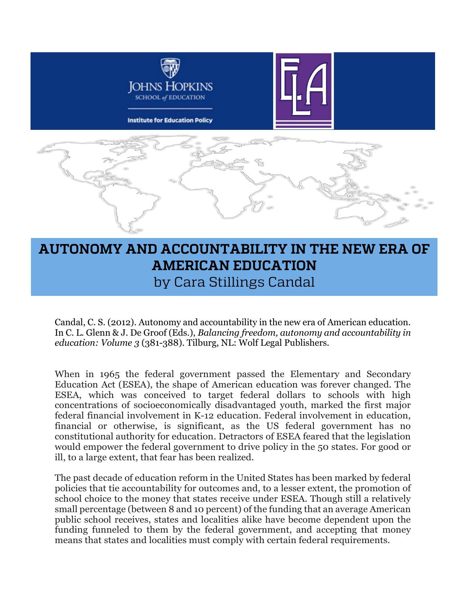

# **AUTONOMY AND ACCOUNTABILITY IN THE NEW ERA OF AMERICAN EDUCATION**  by Cara Stillings Candal

Candal, C. S. (2012). Autonomy and accountability in the new era of American education. In C. L. Glenn & J. De Groof (Eds.), *Balancing freedom, autonomy and accountability in education: Volume 3* (381-388). Tilburg, NL: Wolf Legal Publishers.

When in 1965 the federal government passed the Elementary and Secondary Education Act (ESEA), the shape of American education was forever changed. The ESEA, which was conceived to target federal dollars to schools with high concentrations of socioeconomically disadvantaged youth, marked the first major federal financial involvement in K-12 education. Federal involvement in education, financial or otherwise, is significant, as the US federal government has no constitutional authority for education. Detractors of ESEA feared that the legislation would empower the federal government to drive policy in the 50 states. For good or ill, to a large extent, that fear has been realized.

The past decade of education reform in the United States has been marked by federal policies that tie accountability for outcomes and, to a lesser extent, the promotion of school choice to the money that states receive under ESEA. Though still a relatively small percentage (between 8 and 10 percent) of the funding that an average American public school receives, states and localities alike have become dependent upon the funding funneled to them by the federal government, and accepting that money means that states and localities must comply with certain federal requirements.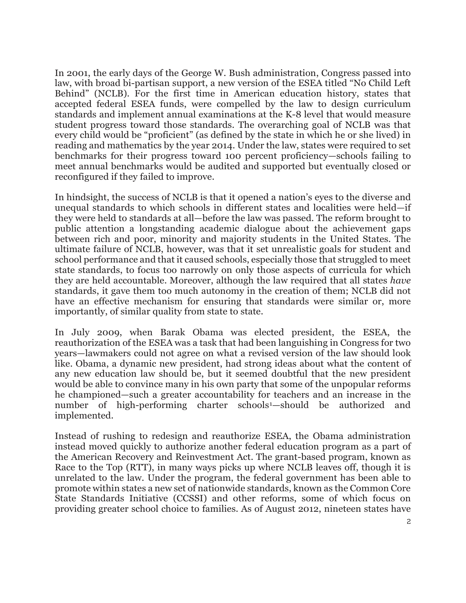In 2001, the early days of the George W. Bush administration, Congress passed into law, with broad bi-partisan support, a new version of the ESEA titled "No Child Left Behind" (NCLB). For the first time in American education history, states that accepted federal ESEA funds, were compelled by the law to design curriculum standards and implement annual examinations at the K-8 level that would measure student progress toward those standards. The overarching goal of NCLB was that every child would be "proficient" (as defined by the state in which he or she lived) in reading and mathematics by the year 2014. Under the law, states were required to set benchmarks for their progress toward 100 percent proficiency—schools failing to meet annual benchmarks would be audited and supported but eventually closed or reconfigured if they failed to improve.

In hindsight, the success of NCLB is that it opened a nation's eyes to the diverse and unequal standards to which schools in different states and localities were held—if they were held to standards at all—before the law was passed. The reform brought to public attention a longstanding academic dialogue about the achievement gaps between rich and poor, minority and majority students in the United States. The ultimate failure of NCLB, however, was that it set unrealistic goals for student and school performance and that it caused schools, especially those that struggled to meet state standards, to focus too narrowly on only those aspects of curricula for which they are held accountable. Moreover, although the law required that all states *have*  standards, it gave them too much autonomy in the creation of them; NCLB did not have an effective mechanism for ensuring that standards were similar or, more importantly, of similar quality from state to state.

In July 2009, when Barak Obama was elected president, the ESEA, the reauthorization of the ESEA was a task that had been languishing in Congress for two years—lawmakers could not agree on what a revised version of the law should look like. Obama, a dynamic new president, had strong ideas about what the content of any new education law should be, but it seemed doubtful that the new president would be able to convince many in his own party that some of the unpopular reforms he championed—such a greater accountability for teachers and an increase in the number of high-performing charter schools<sup>1</sup>—should be authorized and implemented.

Instead of rushing to redesign and reauthorize ESEA, the Obama administration instead moved quickly to authorize another federal education program as a part of the American Recovery and Reinvestment Act. The grant-based program, known as Race to the Top (RTT), in many ways picks up where NCLB leaves off, though it is unrelated to the law. Under the program, the federal government has been able to promote within states a new set of nationwide standards, known as the Common Core State Standards Initiative (CCSSI) and other reforms, some of which focus on providing greater school choice to families. As of August 2012, nineteen states have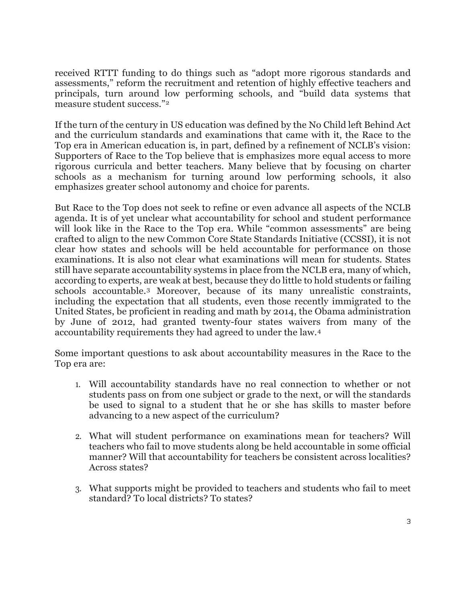received RTTT funding to do things such as "adopt more rigorous standards and assessments," reform the recruitment and retention of highly effective teachers and principals, turn around low performing schools, and "build data systems that measure student success."[2](#page-9-1)

If the turn of the century in US education was defined by the No Child left Behind Act and the curriculum standards and examinations that came with it, the Race to the Top era in American education is, in part, defined by a refinement of NCLB's vision: Supporters of Race to the Top believe that is emphasizes more equal access to more rigorous curricula and better teachers. Many believe that by focusing on charter schools as a mechanism for turning around low performing schools, it also emphasizes greater school autonomy and choice for parents.

But Race to the Top does not seek to refine or even advance all aspects of the NCLB agenda. It is of yet unclear what accountability for school and student performance will look like in the Race to the Top era. While "common assessments" are being crafted to align to the new Common Core State Standards Initiative (CCSSI), it is not clear how states and schools will be held accountable for performance on those examinations. It is also not clear what examinations will mean for students. States still have separate accountability systems in place from the NCLB era, many of which, according to experts, are weak at best, because they do little to hold students or failing schools accountable.[3](#page-9-2) Moreover, because of its many unrealistic constraints, including the expectation that all students, even those recently immigrated to the United States, be proficient in reading and math by 2014, the Obama administration by June of 2012, had granted twenty-four states waivers from many of the accountability requirements they had agreed to under the law.[4](#page-9-3)

Some important questions to ask about accountability measures in the Race to the Top era are:

- 1. Will accountability standards have no real connection to whether or not students pass on from one subject or grade to the next, or will the standards be used to signal to a student that he or she has skills to master before advancing to a new aspect of the curriculum?
- 2. What will student performance on examinations mean for teachers? Will teachers who fail to move students along be held accountable in some official manner? Will that accountability for teachers be consistent across localities? Across states?
- 3. What supports might be provided to teachers and students who fail to meet standard? To local districts? To states?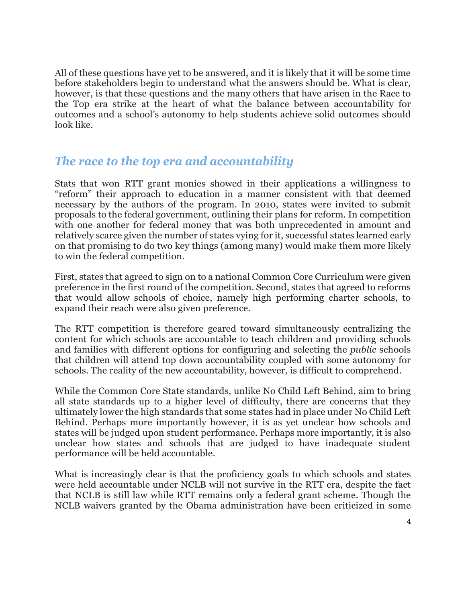All of these questions have yet to be answered, and it is likely that it will be some time before stakeholders begin to understand what the answers should be. What is clear, however, is that these questions and the many others that have arisen in the Race to the Top era strike at the heart of what the balance between accountability for outcomes and a school's autonomy to help students achieve solid outcomes should look like.

### *The race to the top era and accountability*

Stats that won RTT grant monies showed in their applications a willingness to "reform" their approach to education in a manner consistent with that deemed necessary by the authors of the program. In 2010, states were invited to submit proposals to the federal government, outlining their plans for reform. In competition with one another for federal money that was both unprecedented in amount and relatively scarce given the number of states vying for it, successful states learned early on that promising to do two key things (among many) would make them more likely to win the federal competition.

First, states that agreed to sign on to a national Common Core Curriculum were given preference in the first round of the competition. Second, states that agreed to reforms that would allow schools of choice, namely high performing charter schools, to expand their reach were also given preference.

The RTT competition is therefore geared toward simultaneously centralizing the content for which schools are accountable to teach children and providing schools and families with different options for configuring and selecting the *public* schools that children will attend top down accountability coupled with some autonomy for schools. The reality of the new accountability, however, is difficult to comprehend.

While the Common Core State standards, unlike No Child Left Behind, aim to bring all state standards up to a higher level of difficulty, there are concerns that they ultimately lower the high standards that some states had in place under No Child Left Behind. Perhaps more importantly however, it is as yet unclear how schools and states will be judged upon student performance. Perhaps more importantly, it is also unclear how states and schools that are judged to have inadequate student performance will be held accountable.

What is increasingly clear is that the proficiency goals to which schools and states were held accountable under NCLB will not survive in the RTT era, despite the fact that NCLB is still law while RTT remains only a federal grant scheme. Though the NCLB waivers granted by the Obama administration have been criticized in some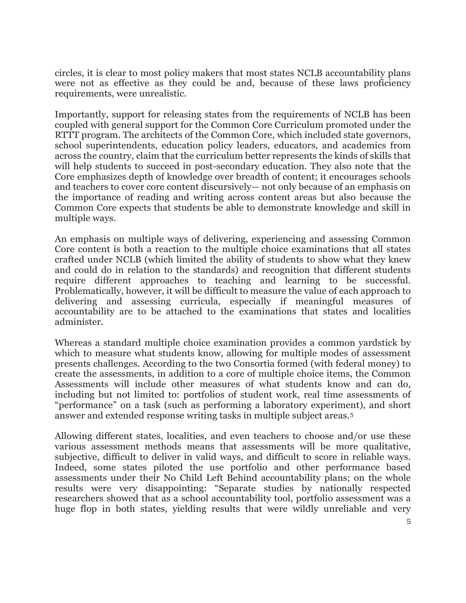circles, it is clear to most policy makers that most states NCLB accountability plans were not as effective as they could be and, because of these laws proficiency requirements, were unrealistic.

Importantly, support for releasing states from the requirements of NCLB has been coupled with general support for the Common Core Curriculum promoted under the RTTT program. The architects of the Common Core, which included state governors, school superintendents, education policy leaders, educators, and academics from across the country, claim that the curriculum better represents the kinds of skills that will help students to succeed in post-secondary education. They also note that the Core emphasizes depth of knowledge over breadth of content; it encourages schools and teachers to cover core content discursively— not only because of an emphasis on the importance of reading and writing across content areas but also because the Common Core expects that students be able to demonstrate knowledge and skill in multiple ways.

An emphasis on multiple ways of delivering, experiencing and assessing Common Core content is both a reaction to the multiple choice examinations that all states crafted under NCLB (which limited the ability of students to show what they knew and could do in relation to the standards) and recognition that different students require different approaches to teaching and learning to be successful. Problematically, however, it will be difficult to measure the value of each approach to delivering and assessing curricula, especially if meaningful measures of accountability are to be attached to the examinations that states and localities administer.

Whereas a standard multiple choice examination provides a common yardstick by which to measure what students know, allowing for multiple modes of assessment presents challenges. According to the two Consortia formed (with federal money) to create the assessments, in addition to a core of multiple choice items, the Common Assessments will include other measures of what students know and can do, including but not limited to: portfolios of student work, real time assessments of "performance" on a task (such as performing a laboratory experiment), and short answer and extended response writing tasks in multiple subject areas.[5](#page-9-4)

Allowing different states, localities, and even teachers to choose and/or use these various assessment methods means that assessments will be more qualitative, subjective, difficult to deliver in valid ways, and difficult to score in reliable ways. Indeed, some states piloted the use portfolio and other performance based assessments under their No Child Left Behind accountability plans; on the whole results were very disappointing: "Separate studies by nationally respected researchers showed that as a school accountability tool, portfolio assessment was a huge flop in both states, yielding results that were wildly unreliable and very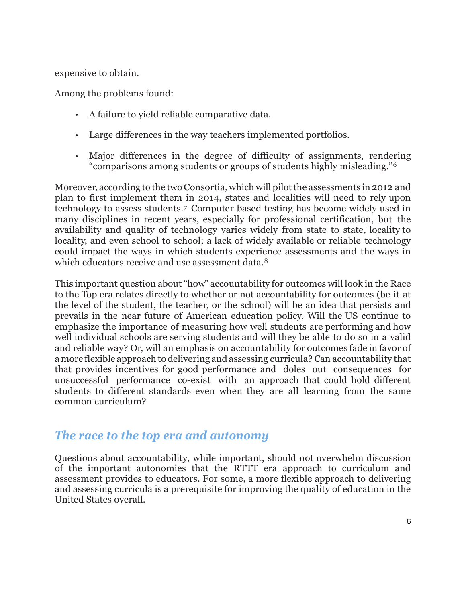expensive to obtain.

Among the problems found:

- A failure to yield reliable comparative data.
- Large differences in the way teachers implemented portfolios.
- Major differences in the degree of difficulty of assignments, rendering "comparisons among students or groups of students highly misleading."[6](#page-9-5)

Moreover, according to the two Consortia, which will pilot the assessments in 2012 and plan to first implement them in 2014, states and localities will need to rely upon technology to assess students.[7](#page-9-6) Computer based testing has become widely used in many disciplines in recent years, especially for professional certification, but the availability and quality of technology varies widely from state to state, locality to locality, and even school to school; a lack of widely available or reliable technology could impact the ways in which students experience assessments and the ways in which educators receive and use assessment data.<sup>[8](#page-9-7)</sup>

This important question about "how" accountability for outcomes will look in the Race to the Top era relates directly to whether or not accountability for outcomes (be it at the level of the student, the teacher, or the school) will be an idea that persists and prevails in the near future of American education policy. Will the US continue to emphasize the importance of measuring how well students are performing and how well individual schools are serving students and will they be able to do so in a valid and reliable way? Or, will an emphasis on accountability for outcomes fade in favor of a more flexible approach to delivering and assessing curricula? Can accountability that that provides incentives for good performance and doles out consequences for unsuccessful performance co-exist with an approach that could hold different students to different standards even when they are all learning from the same common curriculum?

#### *The race to the top era and autonomy*

Questions about accountability, while important, should not overwhelm discussion of the important autonomies that the RTTT era approach to curriculum and assessment provides to educators. For some, a more flexible approach to delivering and assessing curricula is a prerequisite for improving the quality of education in the United States overall.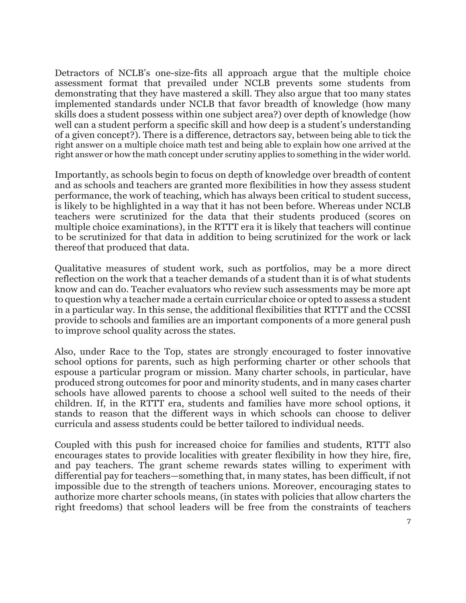Detractors of NCLB's one-size-fits all approach argue that the multiple choice assessment format that prevailed under NCLB prevents some students from demonstrating that they have mastered a skill. They also argue that too many states implemented standards under NCLB that favor breadth of knowledge (how many skills does a student possess within one subject area?) over depth of knowledge (how well can a student perform a specific skill and how deep is a student's understanding of a given concept?). There is a difference, detractors say, between being able to tick the right answer on a multiple choice math test and being able to explain how one arrived at the right answer or how the math concept under scrutiny applies to something in the wider world.

Importantly, as schools begin to focus on depth of knowledge over breadth of content and as schools and teachers are granted more flexibilities in how they assess student performance, the work of teaching, which has always been critical to student success, is likely to be highlighted in a way that it has not been before. Whereas under NCLB teachers were scrutinized for the data that their students produced (scores on multiple choice examinations), in the RTTT era it is likely that teachers will continue to be scrutinized for that data in addition to being scrutinized for the work or lack thereof that produced that data.

Qualitative measures of student work, such as portfolios, may be a more direct reflection on the work that a teacher demands of a student than it is of what students know and can do. Teacher evaluators who review such assessments may be more apt to question why a teacher made a certain curricular choice or opted to assess a student in a particular way. In this sense, the additional flexibilities that RTTT and the CCSSI provide to schools and families are an important components of a more general push to improve school quality across the states.

Also, under Race to the Top, states are strongly encouraged to foster innovative school options for parents, such as high performing charter or other schools that espouse a particular program or mission. Many charter schools, in particular, have produced strong outcomes for poor and minority students, and in many cases charter schools have allowed parents to choose a school well suited to the needs of their children. If, in the RTTT era, students and families have more school options, it stands to reason that the different ways in which schools can choose to deliver curricula and assess students could be better tailored to individual needs.

Coupled with this push for increased choice for families and students, RTTT also encourages states to provide localities with greater flexibility in how they hire, fire, and pay teachers. The grant scheme rewards states willing to experiment with differential pay for teachers—something that, in many states, has been difficult, if not impossible due to the strength of teachers unions. Moreover, encouraging states to authorize more charter schools means, (in states with policies that allow charters the right freedoms) that school leaders will be free from the constraints of teachers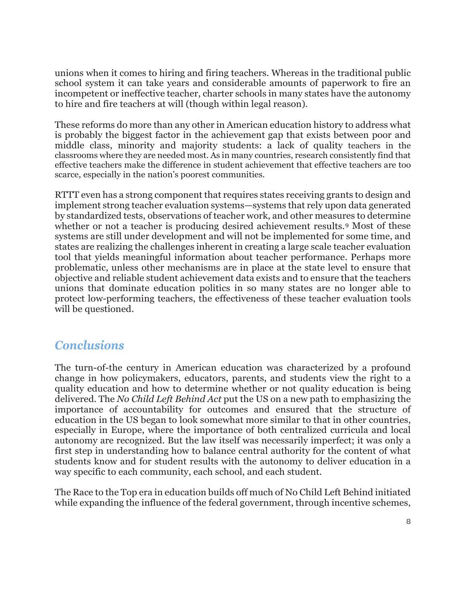unions when it comes to hiring and firing teachers. Whereas in the traditional public school system it can take years and considerable amounts of paperwork to fire an incompetent or ineffective teacher, charter schools in many states have the autonomy to hire and fire teachers at will (though within legal reason).

These reforms do more than any other in American education history to address what is probably the biggest factor in the achievement gap that exists between poor and middle class, minority and majority students: a lack of quality teachers in the classrooms where they are needed most. As in many countries, research consistently find that effective teachers make the difference in student achievement that effective teachers are too scarce, especially in the nation's poorest communities.

RTTT even has a strong component that requires states receiving grants to design and implement strong teacher evaluation systems—systems that rely upon data generated by standardized tests, observations of teacher work, and other measures to determine whether or not a teacher is producing desired achievement results.<sup>[9](#page-9-8)</sup> Most of these systems are still under development and will not be implemented for some time, and states are realizing the challenges inherent in creating a large scale teacher evaluation tool that yields meaningful information about teacher performance. Perhaps more problematic, unless other mechanisms are in place at the state level to ensure that objective and reliable student achievement data exists and to ensure that the teachers unions that dominate education politics in so many states are no longer able to protect low-performing teachers, the effectiveness of these teacher evaluation tools will be questioned.

#### *Conclusions*

The turn-of-the century in American education was characterized by a profound change in how policymakers, educators, parents, and students view the right to a quality education and how to determine whether or not quality education is being delivered. The *No Child Left Behind Act* put the US on a new path to emphasizing the importance of accountability for outcomes and ensured that the structure of education in the US began to look somewhat more similar to that in other countries, especially in Europe, where the importance of both centralized curricula and local autonomy are recognized. But the law itself was necessarily imperfect; it was only a first step in understanding how to balance central authority for the content of what students know and for student results with the autonomy to deliver education in a way specific to each community, each school, and each student.

The Race to the Top era in education builds off much of No Child Left Behind initiated while expanding the influence of the federal government, through incentive schemes,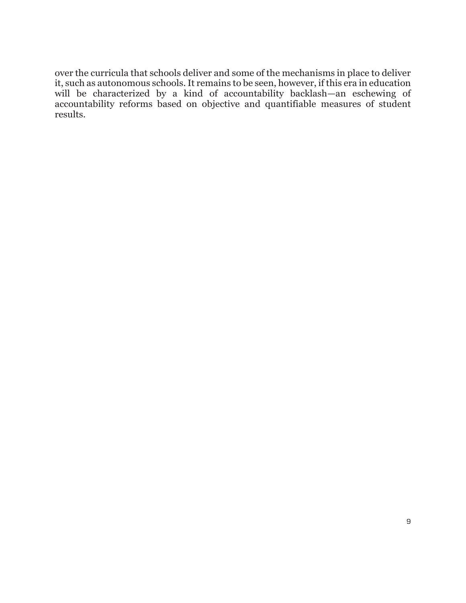over the curricula that schools deliver and some of the mechanisms in place to deliver it, such as autonomous schools. It remains to be seen, however, if this era in education will be characterized by a kind of accountability backlash—an eschewing of accountability reforms based on objective and quantifiable measures of student results.